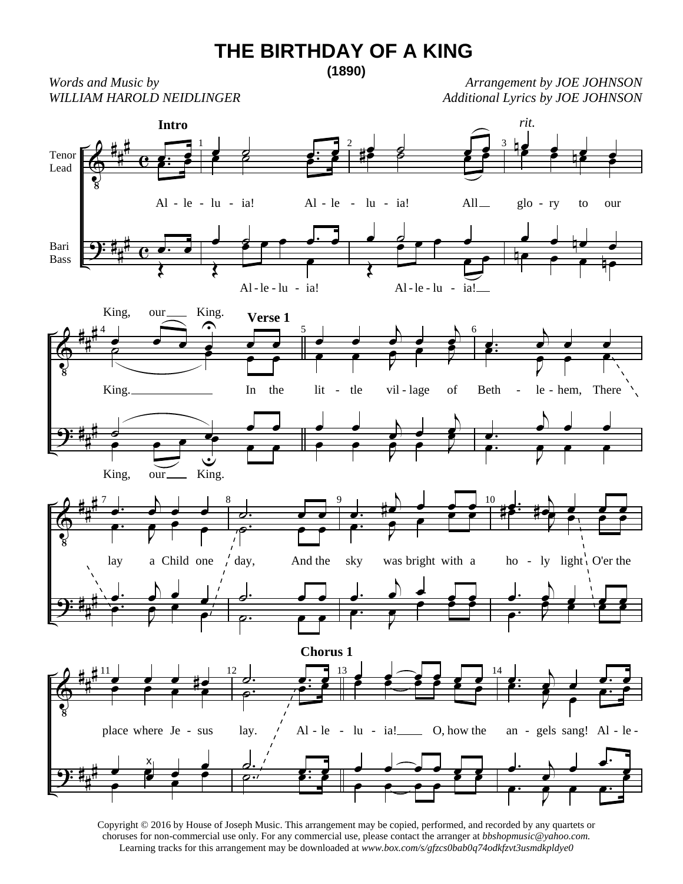## **THE BIRTHDAY OF A KING**

**(1890)**

*Words and Music by WILLIAM HAROLD NEIDLINGER* 

*Arrangement by JOE JOHNSON Additional Lyrics by JOE JOHNSON*



Copyright © 2016 by House of Joseph Music. This arrangement may be copied, performed, and recorded by any quartets or choruses for non-commercial use only. For any commercial use, please contact the arranger at *bbshopmusic@yahoo.com.* Learning tracks for this arrangement may be downloaded at *www.box.com/s/gfzcs0bab0q74odkfzvt3usmdkpldye0*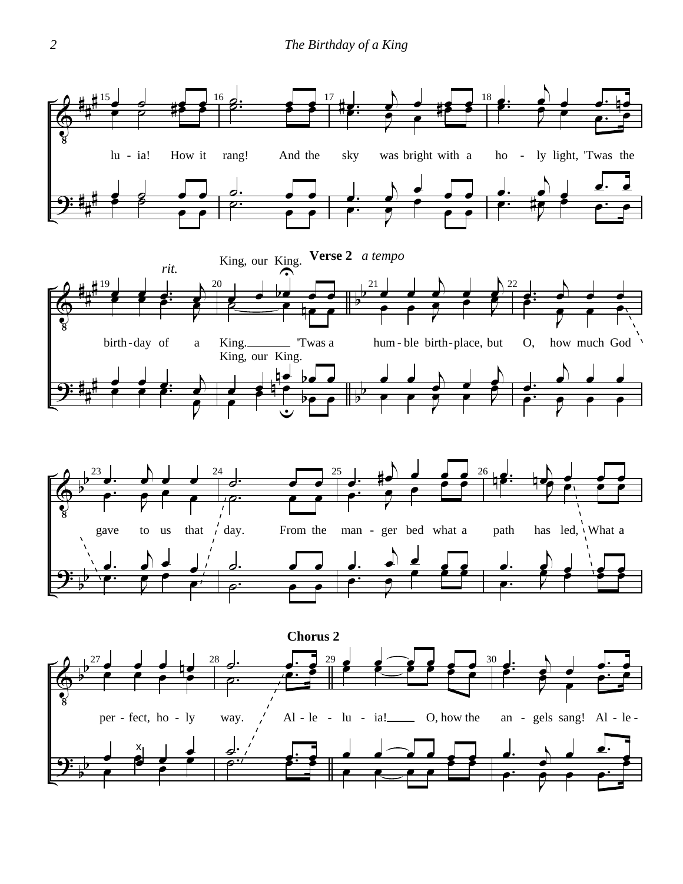